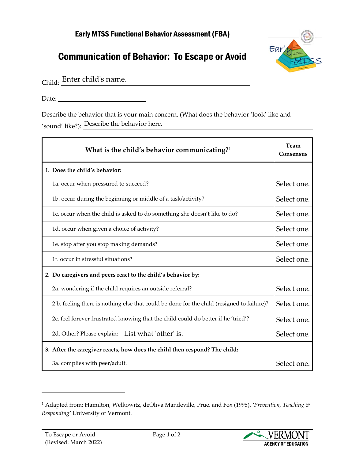## Early MTSS Functional Behavior Assessment (FBA)

## Communication of Behavior: To Escape or Avoid



Child: Enter child's name.

Date:

Describe the behavior that is your main concern. (What does the behavior 'look' like and 'sound' like?): Describe the behavior here.

| 'sound' like?): Describe the behavior here.                                                |                   |
|--------------------------------------------------------------------------------------------|-------------------|
| What is the child's behavior communicating? <sup>1</sup>                                   | Team<br>Consensus |
| 1. Does the child's behavior:                                                              |                   |
| 1a. occur when pressured to succeed?                                                       | Select one.       |
| 1b. occur during the beginning or middle of a task/activity?                               | Select one.       |
| 1c. occur when the child is asked to do something she doesn't like to do?                  | Select one.       |
| 1d. occur when given a choice of activity?                                                 | Select one.       |
| 1e. stop after you stop making demands?                                                    | Select one.       |
| 1f. occur in stressful situations?                                                         | Select one.       |
| 2. Do caregivers and peers react to the child's behavior by:                               |                   |
| 2a. wondering if the child requires an outside referral?                                   | Select one.       |
| 2 b. feeling there is nothing else that could be done for the child (resigned to failure)? | Select one.       |
| 2c. feel forever frustrated knowing that the child could do better if he 'tried'?          | Select one.       |
| 2d. Other? Please explain: List what 'other' is.                                           | Select one.       |
| 3. After the caregiver reacts, how does the child then respond? The child:                 |                   |
| 3a. complies with peer/adult.                                                              | Select one.       |



<span id="page-0-0"></span><sup>1</sup> Adapted from: Hamilton, Welkowitz, deOliva Mandeville, Prue, and Fox (1995). *'Prevention, Teaching & Responding'* University of Vermont.